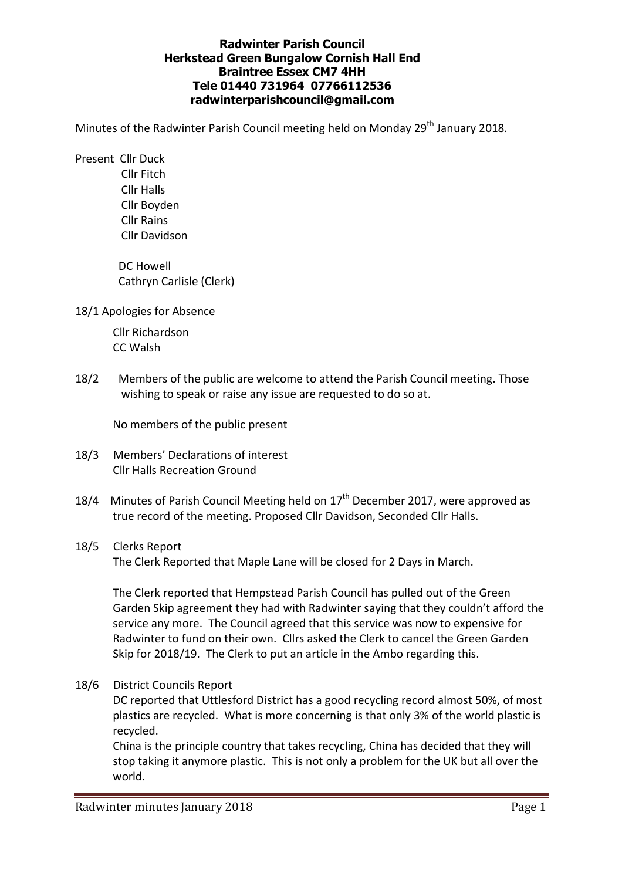# **Radwinter Parish Council Herkstead Green Bungalow Cornish Hall End Braintree Essex CM7 4HH Tele 01440 731964 07766112536 radwinterparishcouncil@gmail.com**

Minutes of the Radwinter Parish Council meeting held on Monday 29<sup>th</sup> January 2018.

Present Cllr Duck

 Cllr Fitch Cllr Halls Cllr Boyden Cllr Rains Cllr Davidson

 DC Howell Cathryn Carlisle (Clerk)

18/1 Apologies for Absence

 Cllr Richardson CC Walsh

18/2 Members of the public are welcome to attend the Parish Council meeting. Those wishing to speak or raise any issue are requested to do so at.

No members of the public present

- 18/3 Members' Declarations of interest Cllr Halls Recreation Ground
- 18/4 Minutes of Parish Council Meeting held on  $17<sup>th</sup>$  December 2017, were approved as true record of the meeting. Proposed Cllr Davidson, Seconded Cllr Halls.

# 18/5 Clerks Report

The Clerk Reported that Maple Lane will be closed for 2 Days in March.

The Clerk reported that Hempstead Parish Council has pulled out of the Green Garden Skip agreement they had with Radwinter saying that they couldn't afford the service any more. The Council agreed that this service was now to expensive for Radwinter to fund on their own. Cllrs asked the Clerk to cancel the Green Garden Skip for 2018/19. The Clerk to put an article in the Ambo regarding this.

18/6 District Councils Report

DC reported that Uttlesford District has a good recycling record almost 50%, of most plastics are recycled. What is more concerning is that only 3% of the world plastic is recycled.

China is the principle country that takes recycling, China has decided that they will stop taking it anymore plastic. This is not only a problem for the UK but all over the world.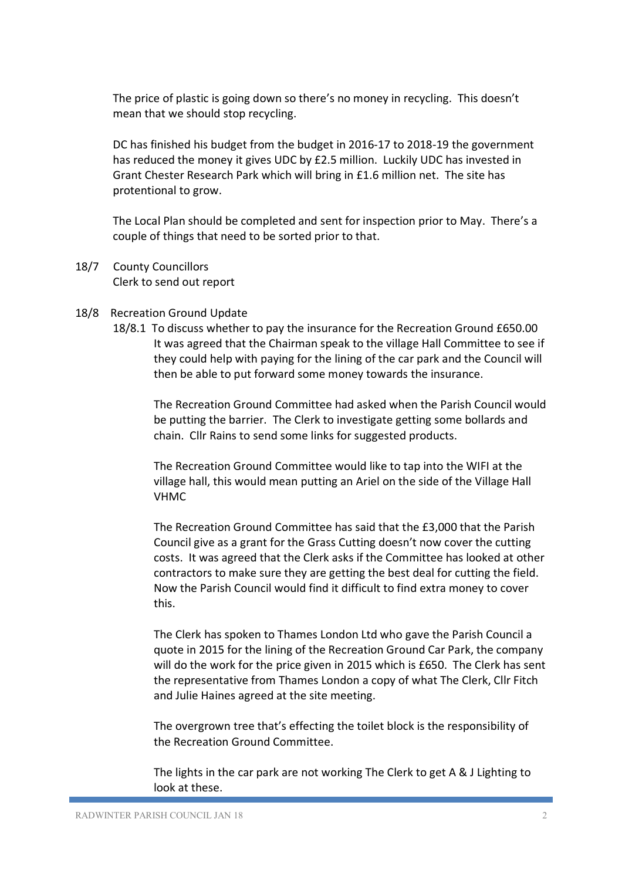The price of plastic is going down so there's no money in recycling. This doesn't mean that we should stop recycling.

DC has finished his budget from the budget in 2016-17 to 2018-19 the government has reduced the money it gives UDC by £2.5 million. Luckily UDC has invested in Grant Chester Research Park which will bring in £1.6 million net. The site has protentional to grow.

The Local Plan should be completed and sent for inspection prior to May. There's a couple of things that need to be sorted prior to that.

- 18/7 County Councillors Clerk to send out report
- 18/8 Recreation Ground Update
	- 18/8.1 To discuss whether to pay the insurance for the Recreation Ground £650.00 It was agreed that the Chairman speak to the village Hall Committee to see if they could help with paying for the lining of the car park and the Council will then be able to put forward some money towards the insurance.

The Recreation Ground Committee had asked when the Parish Council would be putting the barrier. The Clerk to investigate getting some bollards and chain. Cllr Rains to send some links for suggested products.

The Recreation Ground Committee would like to tap into the WIFI at the village hall, this would mean putting an Ariel on the side of the Village Hall VHMC

The Recreation Ground Committee has said that the £3,000 that the Parish Council give as a grant for the Grass Cutting doesn't now cover the cutting costs. It was agreed that the Clerk asks if the Committee has looked at other contractors to make sure they are getting the best deal for cutting the field. Now the Parish Council would find it difficult to find extra money to cover this.

The Clerk has spoken to Thames London Ltd who gave the Parish Council a quote in 2015 for the lining of the Recreation Ground Car Park, the company will do the work for the price given in 2015 which is £650. The Clerk has sent the representative from Thames London a copy of what The Clerk, Cllr Fitch and Julie Haines agreed at the site meeting.

The overgrown tree that's effecting the toilet block is the responsibility of the Recreation Ground Committee.

The lights in the car park are not working The Clerk to get A & J Lighting to look at these.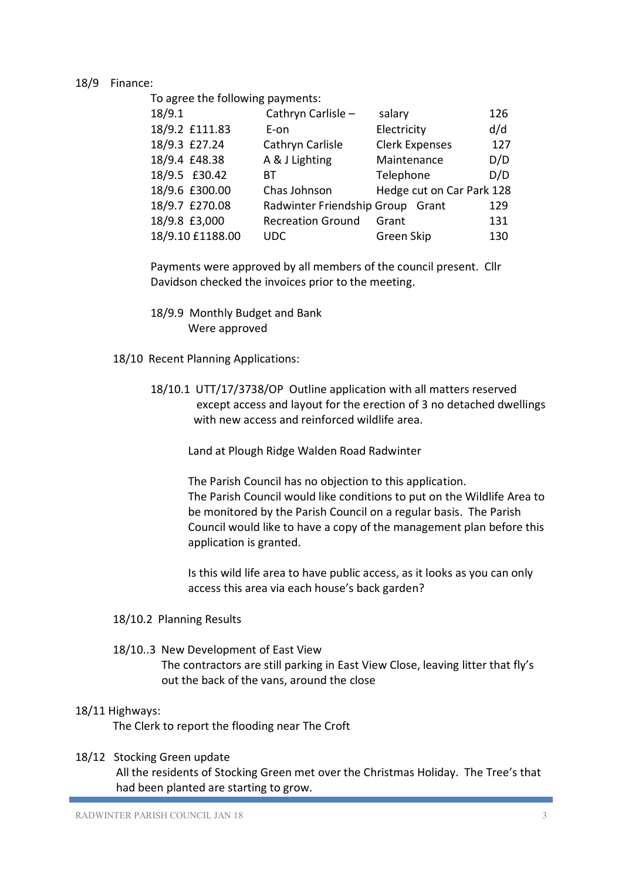## 18/9 Finance:

To agree the following payments:

| 18/9.1           | Cathryn Carlisle -               | salary                    | 126 |
|------------------|----------------------------------|---------------------------|-----|
| 18/9.2 £111.83   | E-on                             | Electricity               | d/d |
| 18/9.3 £27.24    | Cathryn Carlisle                 | <b>Clerk Expenses</b>     | 127 |
| 18/9.4 £48.38    | A & J Lighting                   | Maintenance               | D/D |
| 18/9.5 £30.42    | ΒТ                               | Telephone                 | D/D |
| 18/9.6 £300.00   | Chas Johnson                     | Hedge cut on Car Park 128 |     |
| 18/9.7 £270.08   | Radwinter Friendship Group Grant |                           | 129 |
| 18/9.8 £3,000    | <b>Recreation Ground</b>         | Grant                     | 131 |
| 18/9.10 £1188.00 | <b>UDC</b>                       | Green Skip                | 130 |
|                  |                                  |                           |     |

Payments were approved by all members of the council present. Cllr Davidson checked the invoices prior to the meeting.

- 18/9.9 Monthly Budget and Bank Were approved
- 18/10 Recent Planning Applications:
	- 18/10.1 UTT/17/3738/OP Outline application with all matters reserved except access and layout for the erection of 3 no detached dwellings with new access and reinforced wildlife area.

Land at Plough Ridge Walden Road Radwinter

The Parish Council has no objection to this application. The Parish Council would like conditions to put on the Wildlife Area to be monitored by the Parish Council on a regular basis. The Parish Council would like to have a copy of the management plan before this application is granted.

Is this wild life area to have public access, as it looks as you can only access this area via each house's back garden?

- 18/10.2 Planning Results
- 18/10..3 New Development of East View

The contractors are still parking in East View Close, leaving litter that fly's out the back of the vans, around the close

### 18/11 Highways:

The Clerk to report the flooding near The Croft

### 18/12 Stocking Green update

All the residents of Stocking Green met over the Christmas Holiday. The Tree's that had been planted are starting to grow.